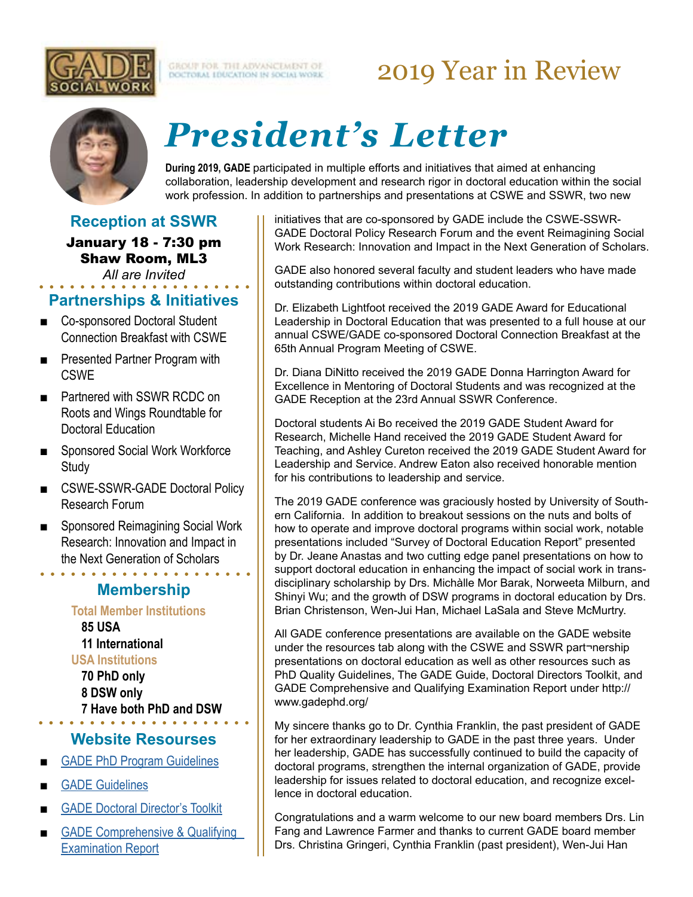

GROUT FOR THE ADVANCEMENT OF

## 2019 Year in Review



# *President's Letter*

**During 2019, GADE** participated in multiple efforts and initiatives that aimed at enhancing collaboration, leadership development and research rigor in doctoral education within the social work profession. In addition to partnerships and presentations at CSWE and SSWR, two new

#### **Reception at SSWR**

January 18 - 7:30 pm Shaw Room, ML3 *All are Invited*

#### **Partnerships & Initiatives**

- Co-sponsored Doctoral Student Connection Breakfast with CSWE
- Presented Partner Program with **CSWE**
- Partnered with SSWR RCDC on Roots and Wings Roundtable for Doctoral Education
- Sponsored Social Work Workforce **Study**
- CSWE-SSWR-GADE Doctoral Policy Research Forum
- Sponsored Reimagining Social Work Research: Innovation and Impact in the Next Generation of Scholars

### **Membership**

. . . . . . . . . .

**Total Member Institutions 85 USA 11 International USA Institutions 70 PhD only 8 DSW only**

**Website Resourses**

**7 Have both PhD and DSW**

- **[GADE PhD Program Guidelines](http://www.gadephd.org/Portals/0/docs/GADE%20quality%20guidelines%20approved%204%2006%202013%20(2).pdf?ver=2013-06-27-221225-117)**
- **[GADE Guidelines](http://www.gadephd.org/Guidelines)**
- **[GADE Doctoral Director's Toolkit](http://www.gadephd.org/Resources/Doctoral-Directors-Toolkit)**
- GADE Comprehensive & Qualifying [Examination Report](http://www.gadephd.org/Resources/GADE-Comprehensive-and-Qualifying-Examination-Report)

initiatives that are co-sponsored by GADE include the CSWE-SSWR-GADE Doctoral Policy Research Forum and the event Reimagining Social Work Research: Innovation and Impact in the Next Generation of Scholars.

GADE also honored several faculty and student leaders who have made outstanding contributions within doctoral education.

Dr. Elizabeth Lightfoot received the 2019 GADE Award for Educational Leadership in Doctoral Education that was presented to a full house at our annual CSWE/GADE co-sponsored Doctoral Connection Breakfast at the 65th Annual Program Meeting of CSWE.

Dr. Diana DiNitto received the 2019 GADE Donna Harrington Award for Excellence in Mentoring of Doctoral Students and was recognized at the GADE Reception at the 23rd Annual SSWR Conference.

Doctoral students Ai Bo received the 2019 GADE Student Award for Research, Michelle Hand received the 2019 GADE Student Award for Teaching, and Ashley Cureton received the 2019 GADE Student Award for Leadership and Service. Andrew Eaton also received honorable mention for his contributions to leadership and service.

The 2019 GADE conference was graciously hosted by University of Southern California. In addition to breakout sessions on the nuts and bolts of how to operate and improve doctoral programs within social work, notable presentations included "Survey of Doctoral Education Report" presented by Dr. Jeane Anastas and two cutting edge panel presentations on how to support doctoral education in enhancing the impact of social work in transdisciplinary scholarship by Drs. Michàlle Mor Barak, Norweeta Milburn, and Shinyi Wu; and the growth of DSW programs in doctoral education by Drs. Brian Christenson, Wen-Jui Han, Michael LaSala and Steve McMurtry.

All GADE conference presentations are available on the GADE website under the resources tab along with the CSWE and SSWR part¬nership presentations on doctoral education as well as other resources such as PhD Quality Guidelines, The GADE Guide, Doctoral Directors Toolkit, and GADE Comprehensive and Qualifying Examination Report under http:// www.gadephd.org/

My sincere thanks go to Dr. Cynthia Franklin, the past president of GADE for her extraordinary leadership to GADE in the past three years. Under her leadership, GADE has successfully continued to build the capacity of doctoral programs, strengthen the internal organization of GADE, provide leadership for issues related to doctoral education, and recognize excellence in doctoral education.

Congratulations and a warm welcome to our new board members Drs. Lin Fang and Lawrence Farmer and thanks to current GADE board member Drs. Christina Gringeri, Cynthia Franklin (past president), Wen-Jui Han